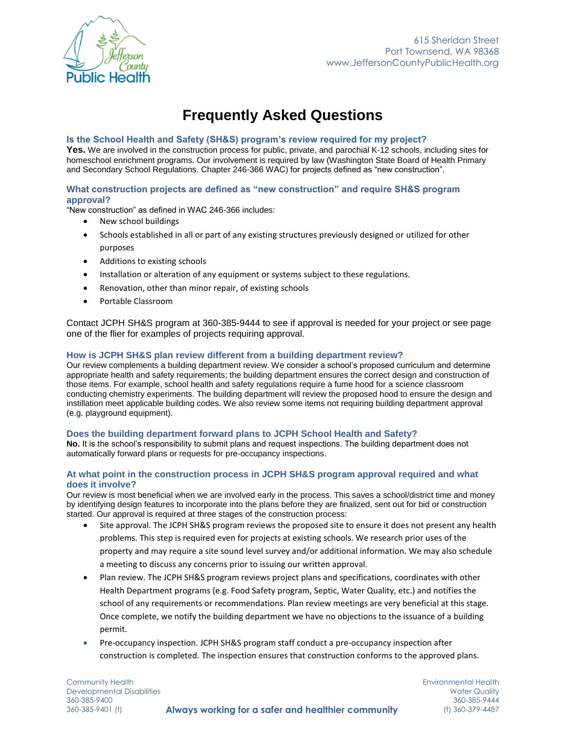

# **Frequently Asked Questions**

### **Is the School Health and Safety (SH&S) program's review required for my project?**

Yes. We are involved in the construction process for public, private, and parochial K-12 schools, including sites for homeschool enrichment programs. Our involvement is required by law (Washington State Board of Health Primary and Secondary School Regulations. Chapter 246-366 WAC) for projects defined as "new construction".

## **What construction projects are defined as "new construction" and require SH&S program approval?**

"New construction" as defined in WAC 246-366 includes:

- New school buildings
- Schools established in all or part of any existing structures previously designed or utilized for other purposes
- Additions to existing schools
- Installation or alteration of any equipment or systems subject to these regulations.
- Renovation, other than minor repair, of existing schools
- Portable Classroom

Contact JCPH SH&S program at 360-385-9444 to see if approval is needed for your project or see page one of the flier for examples of projects requiring approval.

#### **How is JCPH SH&S plan review different from a building department review?**

Our review complements a building department review. We consider a school's proposed curriculum and determine appropriate health and safety requirements; the building department ensures the correct design and construction of those items. For example, school health and safety regulations require a fume hood for a science classroom conducting chemistry experiments. The building department will review the proposed hood to ensure the design and instillation meet applicable building codes. We also review some items not requiring building department approval (e.g. playground equipment).

#### **Does the building department forward plans to JCPH School Health and Safety?**

**No.** It is the school's responsibility to submit plans and request inspections. The building department does not automatically forward plans or requests for pre-occupancy inspections.

#### **At what point in the construction process in JCPH SH&S program approval required and what does it involve?**

Our review is most beneficial when we are involved early in the process. This saves a school/district time and money by identifying design features to incorporate into the plans before they are finalized, sent out for bid or construction started. Our approval is required at three stages of the construction process:

- Site approval. The JCPH SH&S program reviews the proposed site to ensure it does not present any health problems. This step is required even for projects at existing schools. We research prior uses of the property and may require a site sound level survey and/or additional information. We may also schedule a meeting to discuss any concerns prior to issuing our written approval.
- Plan review. The JCPH SH&S program reviews project plans and specifications, coordinates with other Health Department programs (e.g. Food Safety program, Septic, Water Quality, etc.) and notifies the school of any requirements or recommendations. Plan review meetings are very beneficial at this stage. Once complete, we notify the building department we have no objections to the issuance of a building permit.
- Pre-occupancy inspection. JCPH SH&S program staff conduct a pre-occupancy inspection after construction is completed. The inspection ensures that construction conforms to the approved plans.